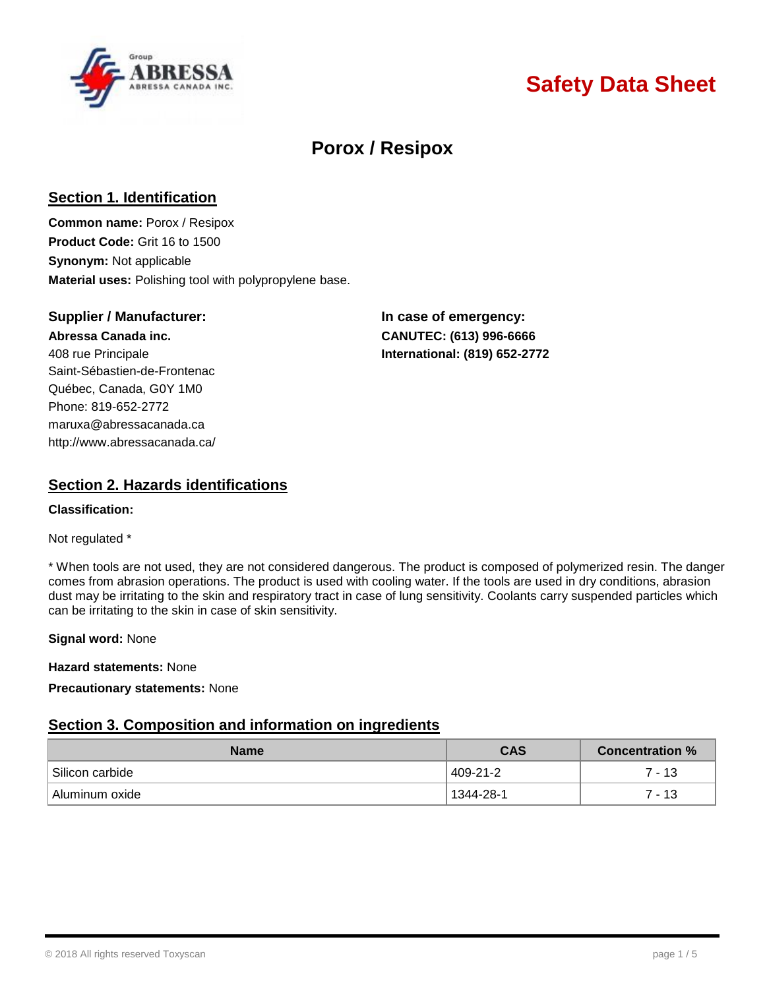

# **Safety Data Sheet**

# **Porox / Resipox**

## **Section 1. Identification**

**Common name:** Porox / Resipox **Product Code:** Grit 16 to 1500 **Synonym:** Not applicable **Material uses:** Polishing tool with polypropylene base.

## **Supplier / Manufacturer: In case of emergency:**

408 rue Principale **International: (819) 652-2772** Saint-Sébastien-de-Frontenac Québec, Canada, G0Y 1M0 Phone: 819-652-2772 [maruxa@abressacanada.ca](mailto:maruxa@abressacanada.ca) <http://www.abressacanada.ca/>

**Abressa Canada inc. CANUTEC: (613) 996-6666**

## **Section 2. Hazards identifications**

#### **Classification:**

#### Not regulated \*

\* When tools are not used, they are not considered dangerous. The product is composed of polymerized resin. The danger comes from abrasion operations. The product is used with cooling water. If the tools are used in dry conditions, abrasion dust may be irritating to the skin and respiratory tract in case of lung sensitivity. Coolants carry suspended particles which can be irritating to the skin in case of skin sensitivity.

#### **Signal word:** None

**Hazard statements:** None

### **Precautionary statements:** None

## **Section 3. Composition and information on ingredients**

| <b>Name</b>     | <b>CAS</b> | ∖ Concentration % ∖ |
|-----------------|------------|---------------------|
| Silicon carbide | 409-21-2   | 7 - 13              |
| Aluminum oxide  | 1344-28-1  | 7 - 13              |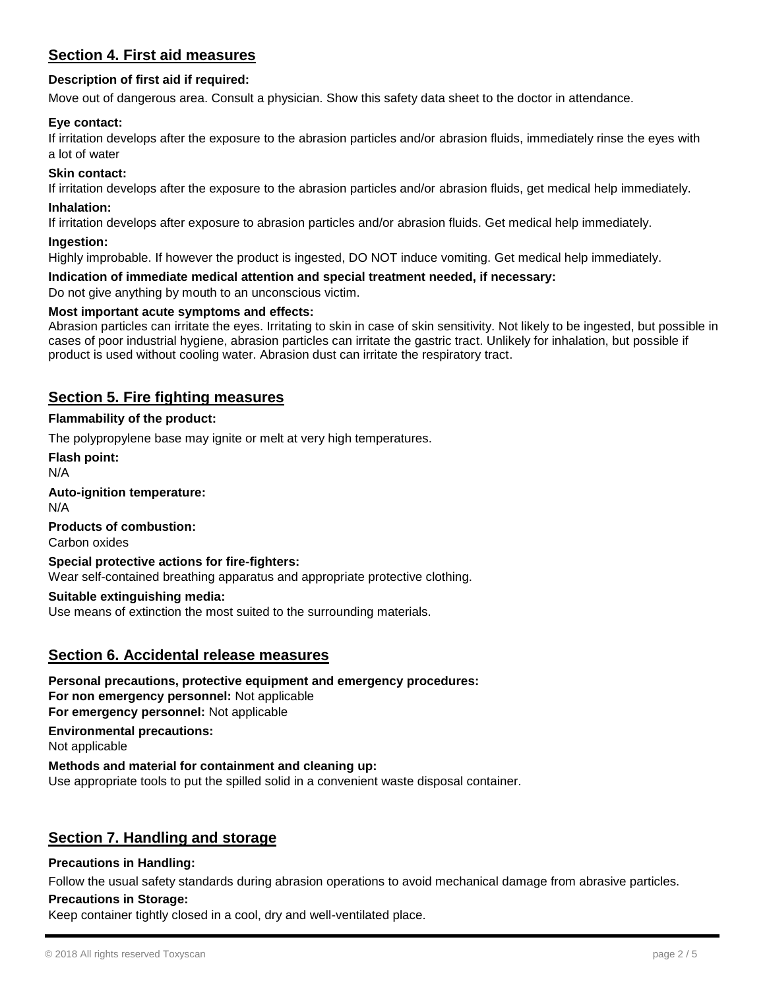## **Section 4. First aid measures**

### **Description of first aid if required:**

Move out of dangerous area. Consult a physician. Show this safety data sheet to the doctor in attendance.

#### **Eye contact:**

If irritation develops after the exposure to the abrasion particles and/or abrasion fluids, immediately rinse the eyes with a lot of water

#### **Skin contact:**

If irritation develops after the exposure to the abrasion particles and/or abrasion fluids, get medical help immediately.

#### **Inhalation:**

If irritation develops after exposure to abrasion particles and/or abrasion fluids. Get medical help immediately.

#### **Ingestion:**

Highly improbable. If however the product is ingested, DO NOT induce vomiting. Get medical help immediately.

#### **Indication of immediate medical attention and special treatment needed, if necessary:**

Do not give anything by mouth to an unconscious victim.

#### **Most important acute symptoms and effects:**

Abrasion particles can irritate the eyes. Irritating to skin in case of skin sensitivity. Not likely to be ingested, but possible in cases of poor industrial hygiene, abrasion particles can irritate the gastric tract. Unlikely for inhalation, but possible if product is used without cooling water. Abrasion dust can irritate the respiratory tract.

## **Section 5. Fire fighting measures**

#### **Flammability of the product:**

The polypropylene base may ignite or melt at very high temperatures.

**Flash point:**

N/A

#### **Auto-ignition temperature:**

N/A

#### **Products of combustion:**

Carbon oxides

#### **Special protective actions for fire-fighters:**

Wear self-contained breathing apparatus and appropriate protective clothing.

#### **Suitable extinguishing media:**

Use means of extinction the most suited to the surrounding materials.

### **Section 6. Accidental release measures**

**Personal precautions, protective equipment and emergency procedures: For non emergency personnel:** Not applicable **For emergency personnel:** Not applicable

**Environmental precautions:**

Not applicable

#### **Methods and material for containment and cleaning up:**

Use appropriate tools to put the spilled solid in a convenient waste disposal container.

## **Section 7. Handling and storage**

#### **Precautions in Handling:**

Follow the usual safety standards during abrasion operations to avoid mechanical damage from abrasive particles.

#### **Precautions in Storage:**

Keep container tightly closed in a cool, dry and well-ventilated place.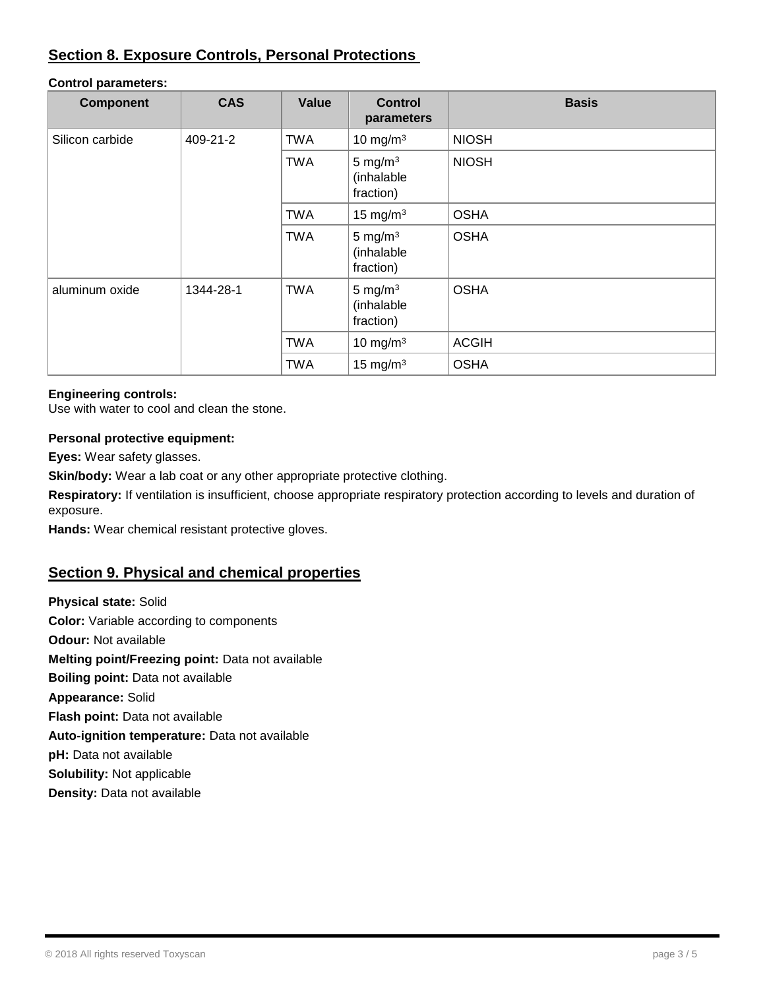## **Section 8. Exposure Controls, Personal Protections**

#### **Control parameters:**

| <b>Component</b> | <b>CAS</b> | Value      | <b>Control</b><br>parameters          | <b>Basis</b> |
|------------------|------------|------------|---------------------------------------|--------------|
| Silicon carbide  | 409-21-2   | <b>TWA</b> | 10 mg/m $3$                           | <b>NIOSH</b> |
|                  |            | <b>TWA</b> | 5 mg/m $3$<br>(inhalable<br>fraction) | <b>NIOSH</b> |
|                  |            | <b>TWA</b> | 15 mg/m $3$                           | <b>OSHA</b>  |
|                  |            | <b>TWA</b> | 5 mg/m $3$<br>(inhalable<br>fraction) | <b>OSHA</b>  |
| aluminum oxide   | 1344-28-1  | <b>TWA</b> | 5 mg/m $3$<br>(inhalable<br>fraction) | <b>OSHA</b>  |
|                  |            | <b>TWA</b> | 10 mg/m $3$                           | <b>ACGIH</b> |
|                  |            | <b>TWA</b> | 15 mg/m $3$                           | <b>OSHA</b>  |

#### **Engineering controls:**

Use with water to cool and clean the stone.

### **Personal protective equipment:**

**Eyes:** Wear safety glasses.

**Skin/body:** Wear a lab coat or any other appropriate protective clothing.

**Respiratory:** If ventilation is insufficient, choose appropriate respiratory protection according to levels and duration of exposure.

**Hands:** Wear chemical resistant protective gloves.

## **Section 9. Physical and chemical properties**

**Physical state:** Solid **Color:** Variable according to components **Odour:** Not available **Melting point/Freezing point:** Data not available **Boiling point:** Data not available **Appearance:** Solid **Flash point:** Data not available **Auto-ignition temperature:** Data not available **pH:** Data not available **Solubility:** Not applicable **Density:** Data not available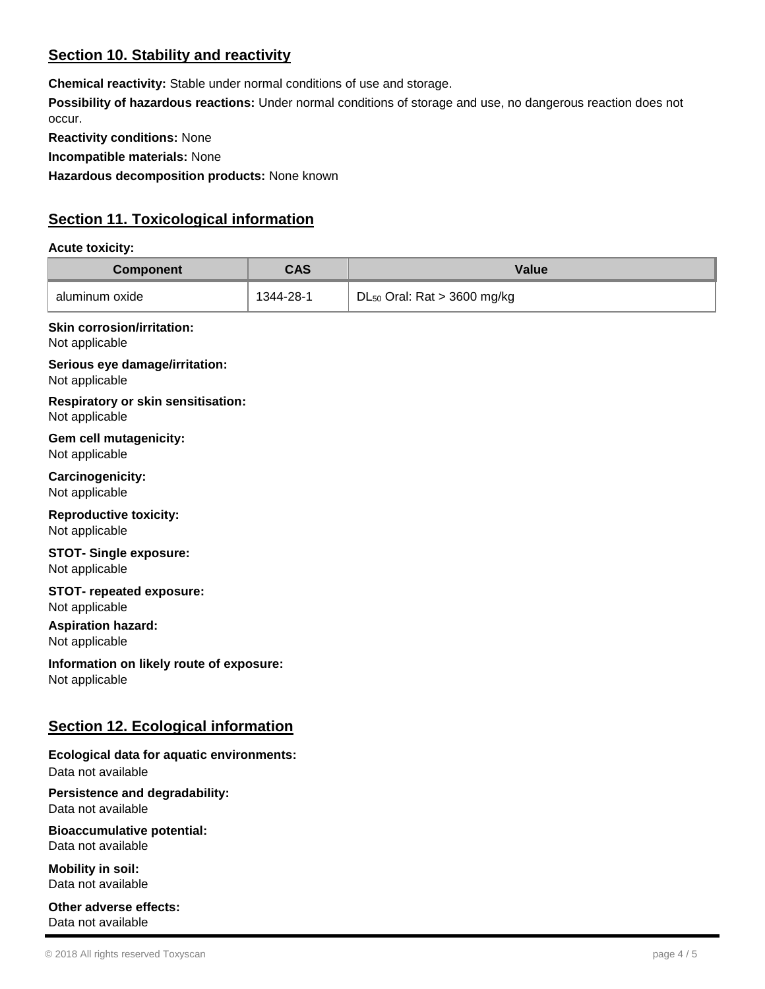## **Section 10. Stability and reactivity**

**Chemical reactivity:** Stable under normal conditions of use and storage.

**Possibility of hazardous reactions:** Under normal conditions of storage and use, no dangerous reaction does not occur.

**Reactivity conditions:** None

**Incompatible materials:** None

**Hazardous decomposition products:** None known

## **Section 11. Toxicological information**

## **Acute toxicity:**

| <b>Component</b>                                                | <b>CAS</b> | <b>Value</b>                     |
|-----------------------------------------------------------------|------------|----------------------------------|
| aluminum oxide                                                  | 1344-28-1  | $DL_{50}$ Oral: Rat > 3600 mg/kg |
| <b>Skin corrosion/irritation:</b><br>Not applicable             |            |                                  |
| Serious eye damage/irritation:<br>Not applicable                |            |                                  |
| <b>Respiratory or skin sensitisation:</b><br>Not applicable     |            |                                  |
| Gem cell mutagenicity:<br>Not applicable                        |            |                                  |
| Carcinogenicity:<br>Not applicable                              |            |                                  |
| <b>Reproductive toxicity:</b><br>Not applicable                 |            |                                  |
| <b>STOT- Single exposure:</b><br>Not applicable                 |            |                                  |
| <b>STOT- repeated exposure:</b><br>Not applicable               |            |                                  |
| <b>Aspiration hazard:</b><br>Not applicable                     |            |                                  |
| Information on likely route of exposure:<br>Not applicable      |            |                                  |
| <b>Section 12. Ecological information</b>                       |            |                                  |
| Ecological data for aquatic environments:<br>Data not available |            |                                  |
| Persistence and degradability:<br>Data not available            |            |                                  |
| <b>Bioaccumulative potential:</b>                               |            |                                  |

Data not available

**Mobility in soil:** Data not available

**Other adverse effects:** Data not available